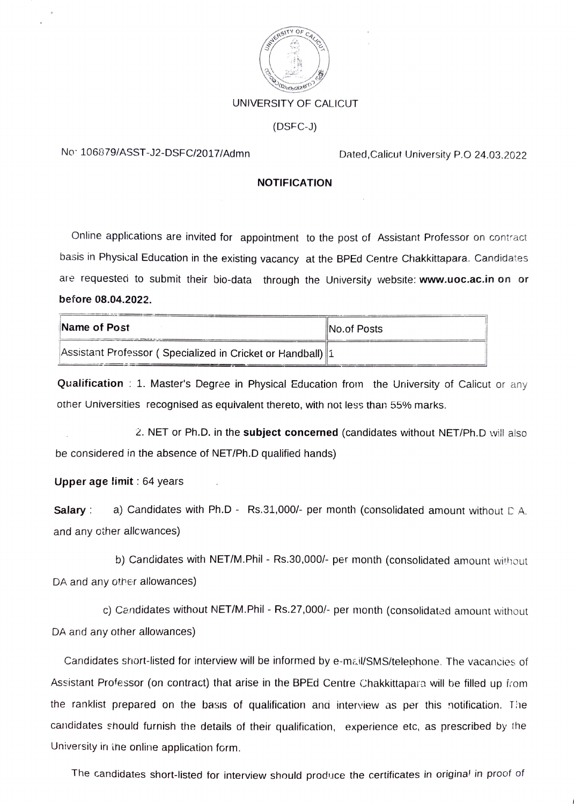

## UNIVERSITY OF CALICUT

(DSFC-J)

## No 106879/ASST-J2-DSFC/2017/Admn Dated,Calicut University P.O 24.03.2022

## **NOTIFICATION**

Online applications are invited for appointment to the post of Assistant Professor on contract basis in Physical Education in the existing vacancy at the BPEd Centre Chakkittapara. Candidates are requested to submit their bio-data through the University website: www.uoc.ac.in on or before 08.04.2022.

| Name of Post                                               | No.of Posts |
|------------------------------------------------------------|-------------|
| Assistant Professor (Specialized in Cricket or Handball) 1 |             |

**Qualification**: 1. Master's Degree in Physical Education from the University of Calicut or any other Universities recognised as equivalent thereto, with not less than 55% marks.

2. NET or Ph.D. in the subject concerned (candidates without NET/Ph.D will also be considered in the absence of NET/Ph.D qualified hands)

Upper age limit  $: 64$  years

**Salary** : a) Candidates with Ph.D - Rs.31,000/- per month (consolidated amount without  $D$  A. and any other allcwances)

b) Candidates with NET/M.Phil - Rs.30,000/- per month (consolidated amount without DA and any other allowances)

c) Candidates without NET/M.Phil - Rs.27,000/- per month (consolidated amount without DA and any other allowances)

Candidates short-listed for interview will be informed by e-mai/SMS/telephone. The vacancies of Assistant Professor (on contract) that arise in the BPEd Centre Chakkittapara will be filled up irom the ranklist prepared on the basis of qualification and interview as per this notification. The candidates should furnish the details of their qualification, experience etc, as prescribed by the University in ihe online application form.

The candidates short-listed for interview should produce the certificates in origina' in proof of